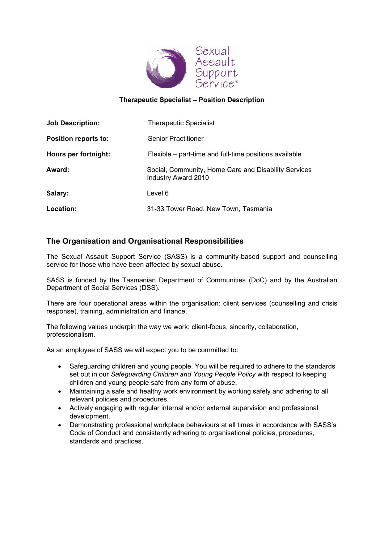

## **Therapeutic Specialist – Position Description**

| <b>Job Description:</b> | <b>Therapeutic Specialist</b>                                                      |
|-------------------------|------------------------------------------------------------------------------------|
| Position reports to:    | <b>Senior Practitioner</b>                                                         |
| Hours per fortnight:    | Flexible – part-time and full-time positions available                             |
| Award:                  | Social, Community, Home Care and Disability Services<br><b>Industry Award 2010</b> |
| Salary:                 | Level 6                                                                            |
| Location:               | 31-33 Tower Road, New Town, Tasmania                                               |

# **The Organisation and Organisational Responsibilities**

The Sexual Assault Support Service (SASS) is a community-based support and counselling service for those who have been affected by sexual abuse.

SASS is funded by the Tasmanian Department of Communities (DoC) and by the Australian Department of Social Services (DSS).

There are four operational areas within the organisation: client services (counselling and crisis response), training, administration and finance.

The following values underpin the way we work: client-focus, sincerity, collaboration, professionalism.

As an employee of SASS we will expect you to be committed to:

- Safeguarding children and young people. You will be required to adhere to the standards set out in our *Safeguarding Children and Young People Policy* with respect to keeping children and young people safe from any form of abuse.
- Maintaining a safe and healthy work environment by working safely and adhering to all relevant policies and procedures.
- Actively engaging with regular internal and/or external supervision and professional development.
- Demonstrating professional workplace behaviours at all times in accordance with SASS's Code of Conduct and consistently adhering to organisational policies, procedures, standards and practices.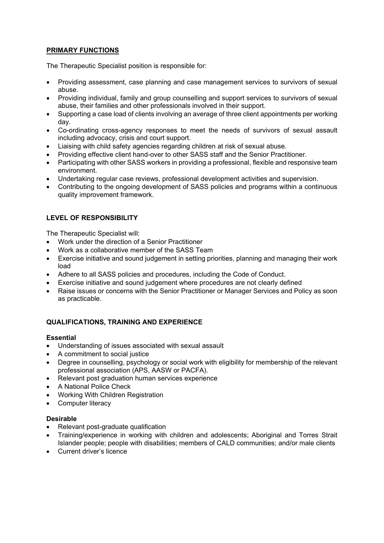## **PRIMARY FUNCTIONS**

The Therapeutic Specialist position is responsible for:

- Providing assessment, case planning and case management services to survivors of sexual abuse.
- Providing individual, family and group counselling and support services to survivors of sexual abuse, their families and other professionals involved in their support.
- Supporting a case load of clients involving an average of three client appointments per working day.
- Co-ordinating cross-agency responses to meet the needs of survivors of sexual assault including advocacy, crisis and court support.
- Liaising with child safety agencies regarding children at risk of sexual abuse.
- Providing effective client hand-over to other SASS staff and the Senior Practitioner.
- Participating with other SASS workers in providing a professional, flexible and responsive team environment.
- Undertaking regular case reviews, professional development activities and supervision.
- Contributing to the ongoing development of SASS policies and programs within a continuous quality improvement framework.

## **LEVEL OF RESPONSIBILITY**

The Therapeutic Specialist will:

- Work under the direction of a Senior Practitioner
- Work as a collaborative member of the SASS Team
- Exercise initiative and sound judgement in setting priorities, planning and managing their work load
- Adhere to all SASS policies and procedures, including the Code of Conduct.
- Exercise initiative and sound judgement where procedures are not clearly defined
- Raise issues or concerns with the Senior Practitioner or Manager Services and Policy as soon as practicable.

## **QUALIFICATIONS, TRAINING AND EXPERIENCE**

#### **Essential**

- Understanding of issues associated with sexual assault
- A commitment to social justice
- Degree in counselling, psychology or social work with eligibility for membership of the relevant professional association (APS, AASW or PACFA).
- Relevant post graduation human services experience
- A National Police Check
- Working With Children Registration
- Computer literacy

#### **Desirable**

- Relevant post-graduate qualification
- Training/experience in working with children and adolescents; Aboriginal and Torres Strait Islander people; people with disabilities; members of CALD communities; and/or male clients
- Current driver's licence